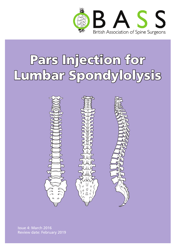

# Pars Injection for Lumbar Spondylolysis



Issue 4: March 2016 Review date: February 2019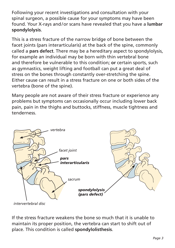Following your recent investigations and consultation with your spinal surgeon, a possible cause for your symptoms may have been found. Your X-rays and/or scans have revealed that you have a **lumbar spondylolysis**.

This is a stress fracture of the narrow bridge of bone between the facet joints (pars interarticularis) at the back of the spine, commonly called a **pars defect**. There may be a hereditary aspect to spondylolysis, for example an individual may be born with thin vertebral bone and therefore be vulnerable to this condition; **or** certain sports, such as gymnastics, weight lifting and football can put a great deal of stress on the bones through constantly over-stretching the spine. Either cause can result in a stress fracture on one or both sides of the vertebra (bone of the spine).

Many people are not aware of their stress fracture or experience any problems but symptoms can occasionally occur including lower back pain, pain in the thighs and buttocks, stiffness, muscle tightness and tenderness.



*intervertebral disc*

If the stress fracture weakens the bone so much that it is unable to maintain its proper position, the vertebra can start to shift out of place. This condition is called **spondylolisthesis**.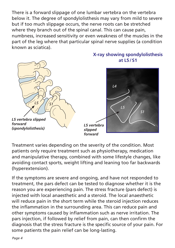There is a forward slippage of one lumbar vertebra on the vertebra below it. The degree of spondylolisthesis may vary from mild to severe but if too much slippage occurs, the nerve roots can be stretched where they branch out of the spinal canal. This can cause pain, numbness, increased sensitivity or even weakness of the muscles in the part of the leg where that particular spinal nerve supplies (a condition known as sciatica).



Treatment varies depending on the severity of the condition. Most patients only require treatment such as physiotherapy, medication and manipulative therapy, combined with some lifestyle changes, like avoiding contact sports, weight lifting and leaning too far backwards (hyperextension).

If the symptoms are severe and ongoing, and have not responded to treatment, the pars defect can be tested to diagnose whether it is the reason you are experiencing pain. The stress fracture (pars defect) is injected with local anaesthetic and a steroid. The local anaesthetic will reduce pain in the short term while the steroid injection reduces the inflammation in the surrounding area. This can reduce pain and other symptoms caused by inflammation such as nerve irritation. The pars injection, if followed by relief from pain, can then confirm the diagnosis that the stress fracture is the specific source of your pain. For some patients the pain relief can be long-lasting.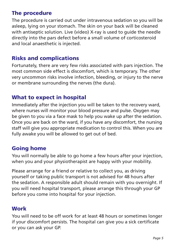## The procedure

The procedure is carried out under intravenous sedation so you will be asleep, lying on your stomach. The skin on your back will be cleaned with antiseptic solution. Live (video) X-ray is used to guide the needle directly into the pars defect before a small volume of corticosteroid and local anaesthetic is injected.

## Risks and complications

Fortunately, there are very few risks associated with pars injection. The most common side effect is discomfort, which is temporary. The other very uncommon risks involve infection, bleeding, or injury to the nerve or membrane surrounding the nerves (the dura).

#### What to expect in hospital

Immediately after the injection you will be taken to the recovery ward, where nurses will monitor your blood pressure and pulse. Oxygen may be given to you via a face mask to help you wake up after the sedation. Once you are back on the ward, if you have any discomfort, the nursing staff will give you appropriate medication to control this. When you are fully awake you will be allowed to get out of bed.

#### Going home

You will normally be able to go home a few hours after your injection, when you and your physiotherapist are happy with your mobility.

Please arrange for a friend or relative to collect you, as driving yourself or taking public transport is not advised for 48 hours after the sedation. A responsible adult should remain with you overnight. If you will need hospital transport, please arrange this through your GP before you come into hospital for your injection.

# **Work**

You will need to be off work for at least 48 hours or sometimes longer if your discomfort persists. The hospital can give you a sick certificate or you can ask your GP.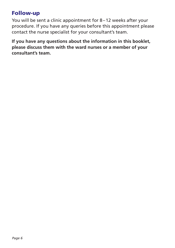#### Follow-up

You will be sent a clinic appointment for 8–12 weeks after your procedure. If you have any queries before this appointment please contact the nurse specialist for your consultant's team.

**If you have any questions about the information in this booklet, please discuss them with the ward nurses or a member of your consultant's team.**